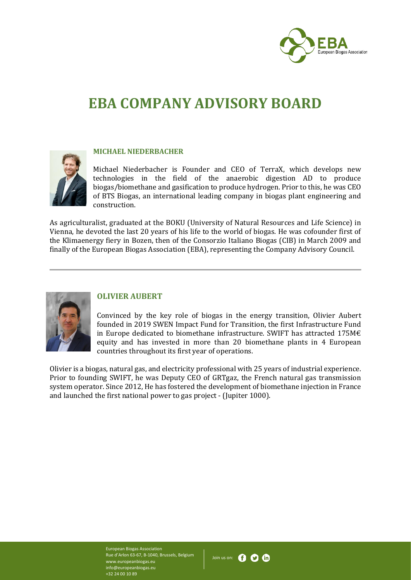

# **EBA COMPANY ADVISORY BOARD**



#### **MICHAEL NIEDERBACHER**

Michael Niederbacher is Founder and CEO of TerraX, which develops new technologies in the field of the anaerobic digestion AD to produce biogas/biomethane and gasification to produce hydrogen. Prior to this, he was CEO of BTS Biogas, an international leading company in biogas plant engineering and construction.

As agriculturalist, graduated at the BOKU (University of Natural Resources and Life Science) in Vienna, he devoted the last 20 years of his life to the world of biogas. He was cofounder first of the Klimaenergy fiery in Bozen, then of the Consorzio Italiano Biogas (CIB) in March 2009 and finally of the European Biogas Association (EBA), representing the Company Advisory Council.



#### **OLIVIER AUBERT**

Convinced by the key role of biogas in the energy transition, Olivier Aubert founded in 2019 SWEN Impact Fund for Transition, the first Infrastructure Fund in Europe dedicated to biomethane infrastructure. SWIFT has attracted 175M€ equity and has invested in more than 20 biomethane plants in 4 European countries throughout its first year of operations.

Olivier is a biogas, natural gas, and electricity professional with 25 years of industrial experience. Prior to founding SWIFT, he was Deputy CEO of GRTgaz, the French natural gas transmission system operator. Since 2012, He has fostered the development of biomethane injection in France and launched the first national power to gas project - (Jupiter 1000).

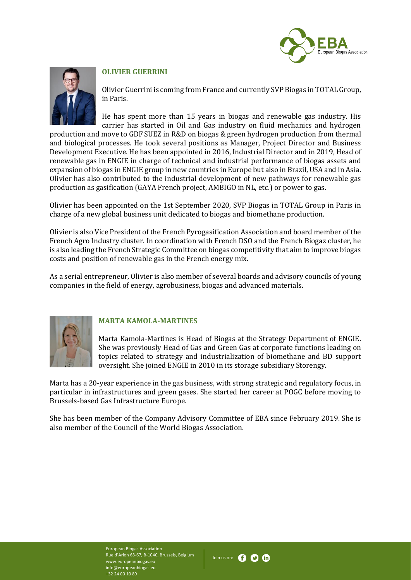



# **OLIVIER GUERRINI**

Olivier Guerrini is coming from France and currently SVP Biogas in TOTAL Group, in Paris.

He has spent more than 15 years in biogas and renewable gas industry. His carrier has started in Oil and Gas industry on fluid mechanics and hydrogen

production and move to GDF SUEZ in R&D on biogas & green hydrogen production from thermal and biological processes. He took several positions as Manager, Project Director and Business Development Executive. He has been appointed in 2016, Industrial Director and in 2019, Head of renewable gas in ENGIE in charge of technical and industrial performance of biogas assets and expansion of biogas in ENGIE group in new countries in Europe but also in Brazil, USA and in Asia. Olivier has also contributed to the industrial development of new pathways for renewable gas production as gasification (GAYA French project, AMBIGO in NL, etc.) or power to gas.

Olivier has been appointed on the 1st September 2020, SVP Biogas in TOTAL Group in Paris in charge of a new global business unit dedicated to biogas and biomethane production.

Olivier is also Vice President of the French Pyrogasification Association and board member of the French Agro Industry cluster. In coordination with French DSO and the French Biogaz cluster, he is also leading the French Strategic Committee on biogas competitivity that aim to improve biogas costs and position of renewable gas in the French energy mix.

As a serial entrepreneur, Olivier is also member of several boards and advisory councils of young companies in the field of energy, agrobusiness, biogas and advanced materials.



# **MARTA KAMOLA-MARTINES**

Marta Kamola-Martines is Head of Biogas at the Strategy Department of ENGIE. She was previously Head of Gas and Green Gas at corporate functions leading on topics related to strategy and industrialization of biomethane and BD support oversight. She joined ENGIE in 2010 in its storage subsidiary Storengy.

Marta has a 20-year experience in the gas business, with strong strategic and regulatory focus, in particular in infrastructures and green gases. She started her career at POGC before moving to Brussels-based Gas Infrastructure Europe.

She has been member of the Company Advisory Committee of EBA since February 2019. She is also member of the Council of the World Biogas Association.

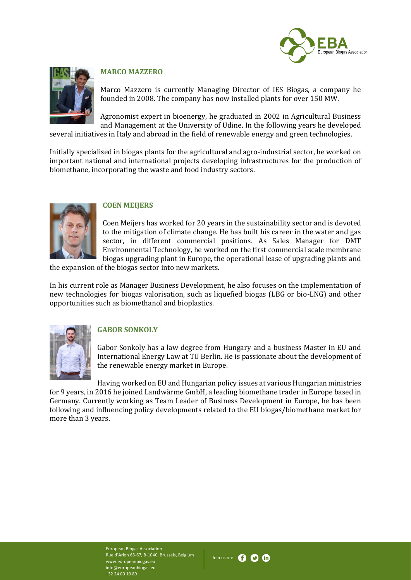



### **MARCO MAZZERO**

Marco Mazzero is currently Managing Director of IES Biogas, a company he founded in 2008. The company has now installed plants for over 150 MW.

Agronomist expert in bioenergy, he graduated in 2002 in Agricultural Business and Management at the University of Udine. In the following years he developed

several initiatives in Italy and abroad in the field of renewable energy and green technologies.

Initially specialised in biogas plants for the agricultural and agro-industrial sector, he worked on important national and international projects developing infrastructures for the production of biomethane, incorporating the waste and food industry sectors.



#### **COEN MEIJERS**

Coen Meijers has worked for 20 years in the sustainability sector and is devoted to the mitigation of climate change. He has built his career in the water and gas sector, in different commercial positions. As Sales Manager for DMT Environmental Technology, he worked on the first commercial scale membrane biogas upgrading plant in Europe, the operational lease of upgrading plants and

the expansion of the biogas sector into new markets.

In his current role as Manager Business Development, he also focuses on the implementation of new technologies for biogas valorisation, such as liquefied biogas (LBG or bio-LNG) and other opportunities such as biomethanol and bioplastics.



# **GABOR SONKOLY**

Gabor Sonkoly has a law degree from Hungary and a business Master in EU and International Energy Law at TU Berlin. He is passionate about the development of the renewable energy market in Europe.

Having worked on EU and Hungarian policy issues at various Hungarian ministries for 9 years, in 2016 he joined Landwärme GmbH, a leading biomethane trader in Europe based in Germany. Currently working as Team Leader of Business Development in Europe, he has been following and influencing policy developments related to the EU biogas/biomethane market for more than 3 years.